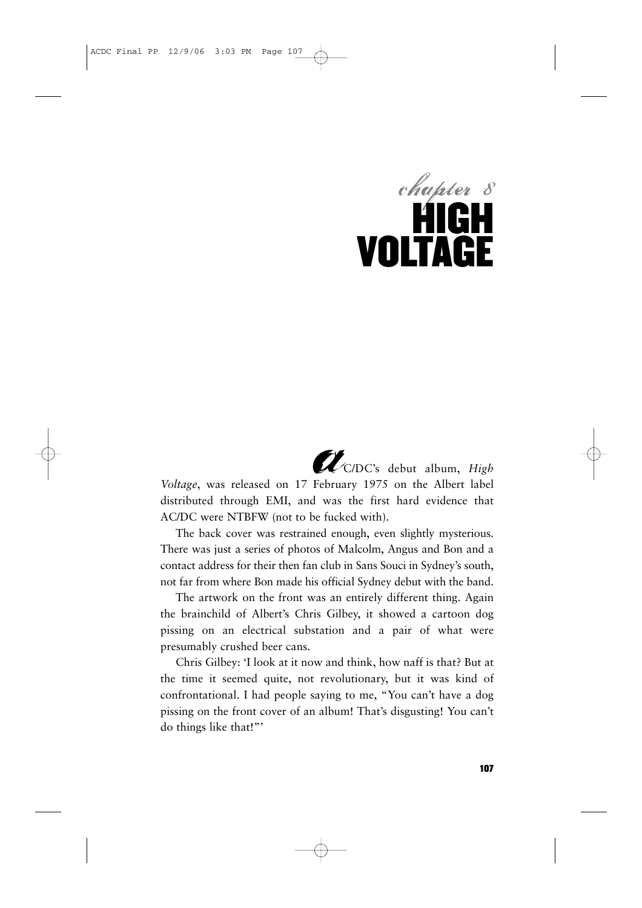ACDC Final PP 12/9/06 3:03 PM Page 107

## chapter 8 HIGH VMITA

aC/DC's debut album, *High Voltage*, was released on 17 February 1975 on the Albert label distributed through EMI, and was the first hard evidence that AC/DC were NTBFW (not to be fucked with).

The back cover was restrained enough, even slightly mysterious. There was just a series of photos of Malcolm, Angus and Bon and a contact address for their then fan club in Sans Souci in Sydney's south, not far from where Bon made his official Sydney debut with the band.

The artwork on the front was an entirely different thing. Again the brainchild of Albert's Chris Gilbey, it showed a cartoon dog pissing on an electrical substation and a pair of what were presumably crushed beer cans.

Chris Gilbey: 'I look at it now and think, how naff is that? But at the time it seemed quite, not revolutionary, but it was kind of confrontational. I had people saying to me, "You can't have a dog pissing on the front cover of an album! That's disgusting! You can't do things like that!"'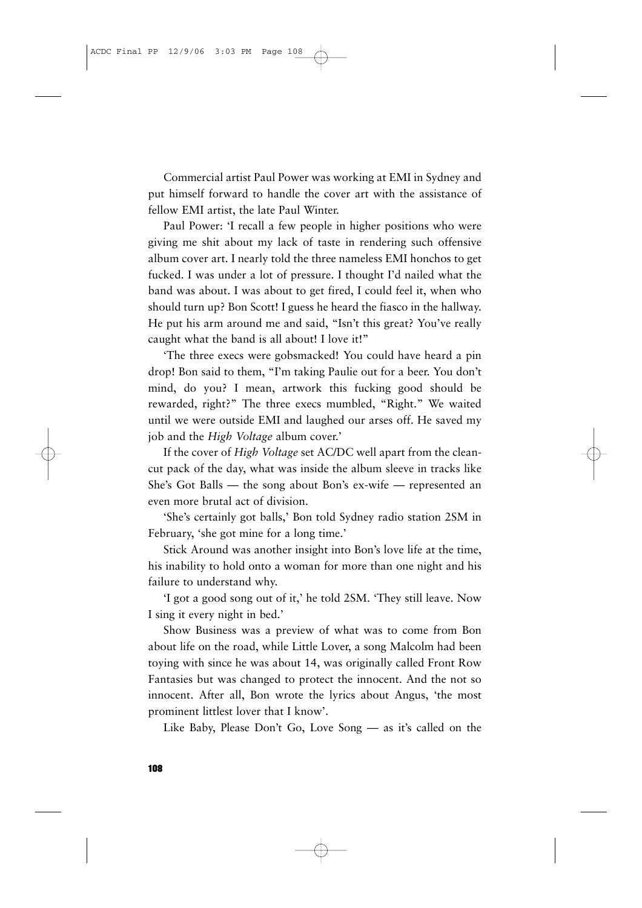Commercial artist Paul Power was working at EMI in Sydney and put himself forward to handle the cover art with the assistance of fellow EMI artist, the late Paul Winter.

Paul Power: 'I recall a few people in higher positions who were giving me shit about my lack of taste in rendering such offensive album cover art. I nearly told the three nameless EMI honchos to get fucked. I was under a lot of pressure. I thought I'd nailed what the band was about. I was about to get fired, I could feel it, when who should turn up? Bon Scott! I guess he heard the fiasco in the hallway. He put his arm around me and said, "Isn't this great? You've really caught what the band is all about! I love it!"

'The three execs were gobsmacked! You could have heard a pin drop! Bon said to them, "I'm taking Paulie out for a beer. You don't mind, do you? I mean, artwork this fucking good should be rewarded, right?" The three execs mumbled, "Right." We waited until we were outside EMI and laughed our arses off. He saved my job and the *High Voltage* album cover.'

If the cover of *High Voltage* set AC/DC well apart from the cleancut pack of the day, what was inside the album sleeve in tracks like She's Got Balls — the song about Bon's ex-wife — represented an even more brutal act of division.

'She's certainly got balls,' Bon told Sydney radio station 2SM in February, 'she got mine for a long time.'

Stick Around was another insight into Bon's love life at the time, his inability to hold onto a woman for more than one night and his failure to understand why.

'I got a good song out of it,' he told 2SM. 'They still leave. Now I sing it every night in bed.'

Show Business was a preview of what was to come from Bon about life on the road, while Little Lover, a song Malcolm had been toying with since he was about 14, was originally called Front Row Fantasies but was changed to protect the innocent. And the not so innocent. After all, Bon wrote the lyrics about Angus, 'the most prominent littlest lover that I know'.

Like Baby, Please Don't Go, Love Song — as it's called on the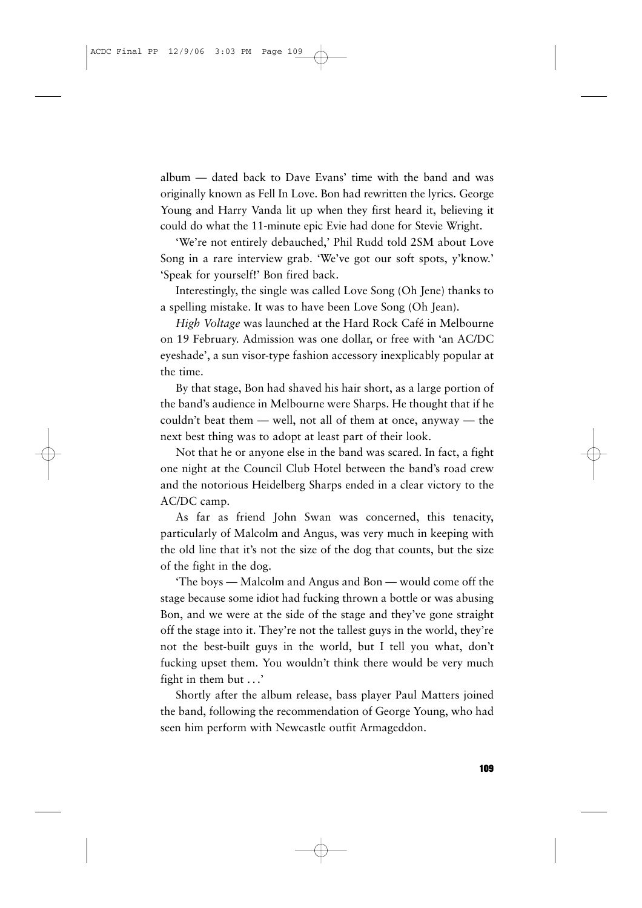album — dated back to Dave Evans' time with the band and was originally known as Fell In Love. Bon had rewritten the lyrics. George Young and Harry Vanda lit up when they first heard it, believing it could do what the 11-minute epic Evie had done for Stevie Wright.

'We're not entirely debauched,' Phil Rudd told 2SM about Love Song in a rare interview grab. 'We've got our soft spots, y'know.' 'Speak for yourself!' Bon fired back.

Interestingly, the single was called Love Song (Oh Jene) thanks to a spelling mistake. It was to have been Love Song (Oh Jean).

*High Voltage* was launched at the Hard Rock Café in Melbourne on 19 February. Admission was one dollar, or free with 'an AC/DC eyeshade', a sun visor-type fashion accessory inexplicably popular at the time.

By that stage, Bon had shaved his hair short, as a large portion of the band's audience in Melbourne were Sharps. He thought that if he couldn't beat them — well, not all of them at once, anyway — the next best thing was to adopt at least part of their look.

Not that he or anyone else in the band was scared. In fact, a fight one night at the Council Club Hotel between the band's road crew and the notorious Heidelberg Sharps ended in a clear victory to the AC/DC camp.

As far as friend John Swan was concerned, this tenacity, particularly of Malcolm and Angus, was very much in keeping with the old line that it's not the size of the dog that counts, but the size of the fight in the dog.

'The boys — Malcolm and Angus and Bon — would come off the stage because some idiot had fucking thrown a bottle or was abusing Bon, and we were at the side of the stage and they've gone straight off the stage into it. They're not the tallest guys in the world, they're not the best-built guys in the world, but I tell you what, don't fucking upset them. You wouldn't think there would be very much fight in them but . . .'

Shortly after the album release, bass player Paul Matters joined the band, following the recommendation of George Young, who had seen him perform with Newcastle outfit Armageddon.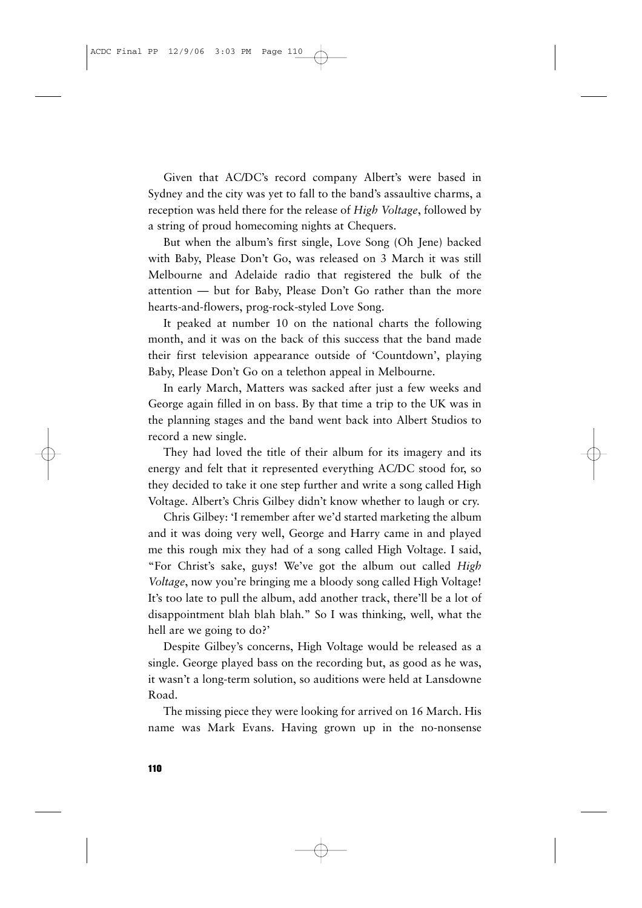Given that AC/DC's record company Albert's were based in Sydney and the city was yet to fall to the band's assaultive charms, a reception was held there for the release of *High Voltage*, followed by a string of proud homecoming nights at Chequers.

But when the album's first single, Love Song (Oh Jene) backed with Baby, Please Don't Go, was released on 3 March it was still Melbourne and Adelaide radio that registered the bulk of the attention — but for Baby, Please Don't Go rather than the more hearts-and-flowers, prog-rock-styled Love Song.

It peaked at number 10 on the national charts the following month, and it was on the back of this success that the band made their first television appearance outside of 'Countdown', playing Baby, Please Don't Go on a telethon appeal in Melbourne.

In early March, Matters was sacked after just a few weeks and George again filled in on bass. By that time a trip to the UK was in the planning stages and the band went back into Albert Studios to record a new single.

They had loved the title of their album for its imagery and its energy and felt that it represented everything AC/DC stood for, so they decided to take it one step further and write a song called High Voltage. Albert's Chris Gilbey didn't know whether to laugh or cry.

Chris Gilbey: 'I remember after we'd started marketing the album and it was doing very well, George and Harry came in and played me this rough mix they had of a song called High Voltage. I said, "For Christ's sake, guys! We've got the album out called *High Voltage*, now you're bringing me a bloody song called High Voltage! It's too late to pull the album, add another track, there'll be a lot of disappointment blah blah blah." So I was thinking, well, what the hell are we going to do?'

Despite Gilbey's concerns, High Voltage would be released as a single. George played bass on the recording but, as good as he was, it wasn't a long-term solution, so auditions were held at Lansdowne Road.

The missing piece they were looking for arrived on 16 March. His name was Mark Evans. Having grown up in the no-nonsense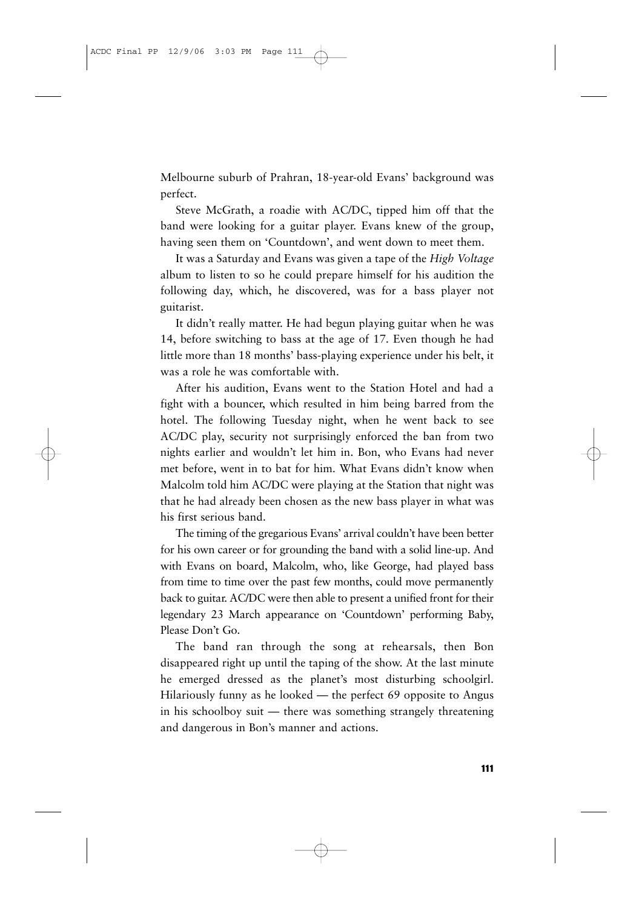Melbourne suburb of Prahran, 18-year-old Evans' background was perfect.

Steve McGrath, a roadie with AC/DC, tipped him off that the band were looking for a guitar player. Evans knew of the group, having seen them on 'Countdown', and went down to meet them.

It was a Saturday and Evans was given a tape of the *High Voltage* album to listen to so he could prepare himself for his audition the following day, which, he discovered, was for a bass player not guitarist.

It didn't really matter. He had begun playing guitar when he was 14, before switching to bass at the age of 17. Even though he had little more than 18 months' bass-playing experience under his belt, it was a role he was comfortable with.

After his audition, Evans went to the Station Hotel and had a fight with a bouncer, which resulted in him being barred from the hotel. The following Tuesday night, when he went back to see AC/DC play, security not surprisingly enforced the ban from two nights earlier and wouldn't let him in. Bon, who Evans had never met before, went in to bat for him. What Evans didn't know when Malcolm told him AC/DC were playing at the Station that night was that he had already been chosen as the new bass player in what was his first serious band.

The timing of the gregarious Evans' arrival couldn't have been better for his own career or for grounding the band with a solid line-up. And with Evans on board, Malcolm, who, like George, had played bass from time to time over the past few months, could move permanently back to guitar. AC/DC were then able to present a unified front for their legendary 23 March appearance on 'Countdown' performing Baby, Please Don't Go.

The band ran through the song at rehearsals, then Bon disappeared right up until the taping of the show. At the last minute he emerged dressed as the planet's most disturbing schoolgirl. Hilariously funny as he looked — the perfect 69 opposite to Angus in his schoolboy suit — there was something strangely threatening and dangerous in Bon's manner and actions.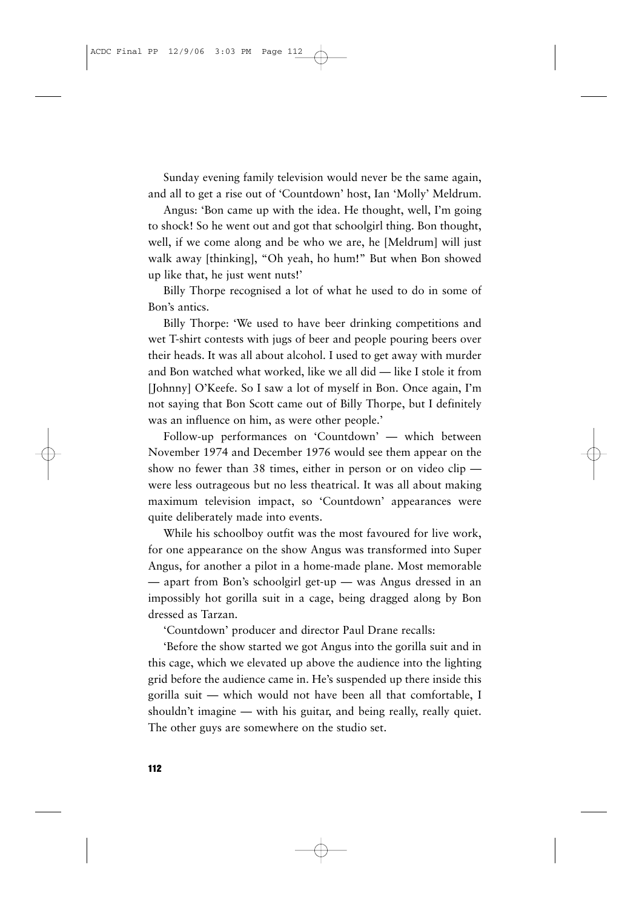Sunday evening family television would never be the same again, and all to get a rise out of 'Countdown' host, Ian 'Molly' Meldrum.

Angus: 'Bon came up with the idea. He thought, well, I'm going to shock! So he went out and got that schoolgirl thing. Bon thought, well, if we come along and be who we are, he [Meldrum] will just walk away [thinking], "Oh yeah, ho hum!" But when Bon showed up like that, he just went nuts!'

Billy Thorpe recognised a lot of what he used to do in some of Bon's antics.

Billy Thorpe: 'We used to have beer drinking competitions and wet T-shirt contests with jugs of beer and people pouring beers over their heads. It was all about alcohol. I used to get away with murder and Bon watched what worked, like we all did — like I stole it from [Johnny] O'Keefe. So I saw a lot of myself in Bon. Once again, I'm not saying that Bon Scott came out of Billy Thorpe, but I definitely was an influence on him, as were other people.'

Follow-up performances on 'Countdown' — which between November 1974 and December 1976 would see them appear on the show no fewer than 38 times, either in person or on video clip were less outrageous but no less theatrical. It was all about making maximum television impact, so 'Countdown' appearances were quite deliberately made into events.

While his schoolboy outfit was the most favoured for live work, for one appearance on the show Angus was transformed into Super Angus, for another a pilot in a home-made plane. Most memorable — apart from Bon's schoolgirl get-up — was Angus dressed in an impossibly hot gorilla suit in a cage, being dragged along by Bon dressed as Tarzan.

'Countdown' producer and director Paul Drane recalls:

'Before the show started we got Angus into the gorilla suit and in this cage, which we elevated up above the audience into the lighting grid before the audience came in. He's suspended up there inside this gorilla suit — which would not have been all that comfortable, I shouldn't imagine — with his guitar, and being really, really quiet. The other guys are somewhere on the studio set.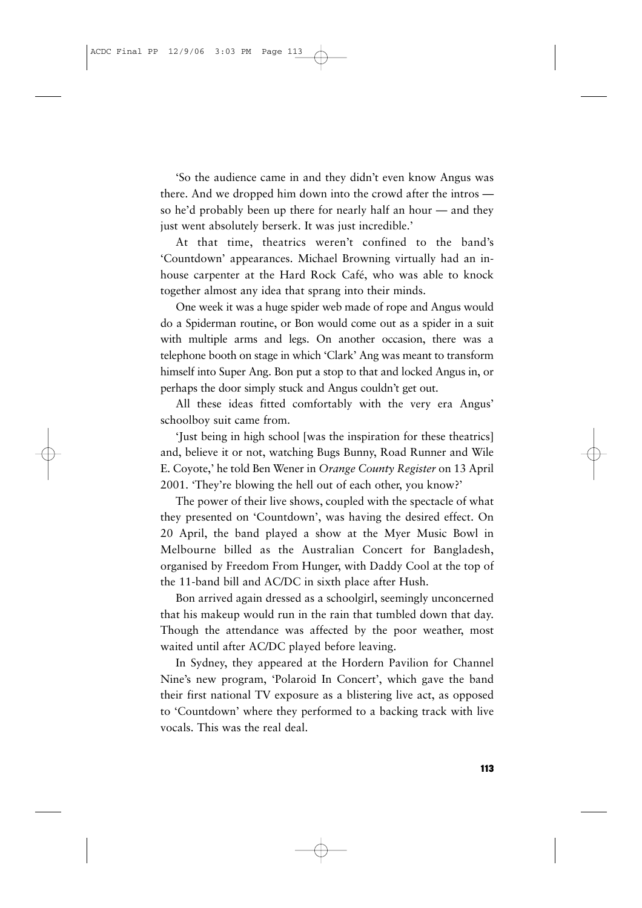'So the audience came in and they didn't even know Angus was there. And we dropped him down into the crowd after the intros so he'd probably been up there for nearly half an hour — and they just went absolutely berserk. It was just incredible.'

At that time, theatrics weren't confined to the band's 'Countdown' appearances. Michael Browning virtually had an inhouse carpenter at the Hard Rock Café, who was able to knock together almost any idea that sprang into their minds.

One week it was a huge spider web made of rope and Angus would do a Spiderman routine, or Bon would come out as a spider in a suit with multiple arms and legs. On another occasion, there was a telephone booth on stage in which 'Clark' Ang was meant to transform himself into Super Ang. Bon put a stop to that and locked Angus in, or perhaps the door simply stuck and Angus couldn't get out.

All these ideas fitted comfortably with the very era Angus' schoolboy suit came from.

'Just being in high school [was the inspiration for these theatrics] and, believe it or not, watching Bugs Bunny, Road Runner and Wile E. Coyote,' he told Ben Wener in *Orange County Register* on 13 April 2001. 'They're blowing the hell out of each other, you know?'

The power of their live shows, coupled with the spectacle of what they presented on 'Countdown', was having the desired effect. On 20 April, the band played a show at the Myer Music Bowl in Melbourne billed as the Australian Concert for Bangladesh, organised by Freedom From Hunger, with Daddy Cool at the top of the 11-band bill and AC/DC in sixth place after Hush.

Bon arrived again dressed as a schoolgirl, seemingly unconcerned that his makeup would run in the rain that tumbled down that day. Though the attendance was affected by the poor weather, most waited until after AC/DC played before leaving.

In Sydney, they appeared at the Hordern Pavilion for Channel Nine's new program, 'Polaroid In Concert', which gave the band their first national TV exposure as a blistering live act, as opposed to 'Countdown' where they performed to a backing track with live vocals. This was the real deal.